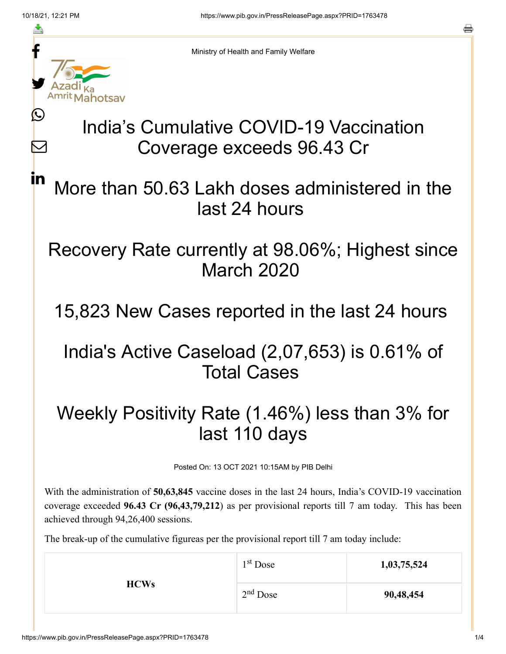f

≛

Ŀ

 $\bm{\nabla}$ 

<u>in</u>

Ministry of Health and Family Welfare

# India's Cumulative COVID-19 Vaccination Coverage exceeds 96.43 Cr

More than 50.63 Lakh doses administered in the last 24 hours

### Recovery Rate currently at 98.06%; Highest since March 2020

15,823 New Cases reported in the last 24 hours

## India's Active Caseload (2,07,653) is 0.61% of Total Cases

## Weekly Positivity Rate (1.46%) less than 3% for last 110 days

Posted On: 13 OCT 2021 10:15AM by PIB Delhi

With the administration of **50,63,845** vaccine doses in the last 24 hours, India's COVID-19 vaccination coverage exceeded **96.43 Cr (96,43,79,212**) as per provisional reports till 7 am today. This has been achieved through 94,26,400 sessions.

The break-up of the cumulative figureas per the provisional report till 7 am today include:

| <b>HCWs</b> | 1 <sup>st</sup> Dose | 1,03,75,524 |
|-------------|----------------------|-------------|
|             | $2nd$ Dose           | 90,48,454   |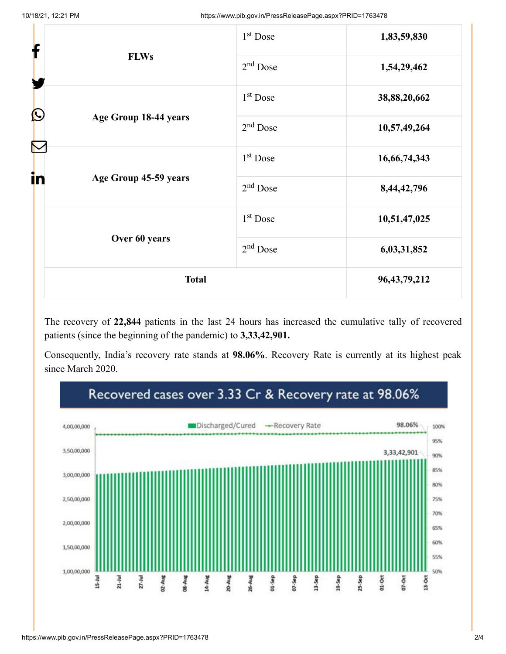| f                                | 1 <sup>st</sup> Dose | 1,83,59,830     |
|----------------------------------|----------------------|-----------------|
| <b>FLWs</b><br>$\mathbf{\Omega}$ | $2nd$ Dose           | 1,54,29,462     |
|                                  | $1st$ Dose           | 38,88,20,662    |
| Age Group 18-44 years            | $2nd$ Dose           | 10,57,49,264    |
|                                  | $1st$ Dose           | 16,66,74,343    |
| in<br>Age Group 45-59 years      | $2nd$ Dose           | 8,44,42,796     |
|                                  | 1 <sup>st</sup> Dose | 10,51,47,025    |
| Over 60 years                    | $2nd$ Dose           | 6,03,31,852     |
| <b>Total</b>                     |                      | 96, 43, 79, 212 |

The recovery of **22,844** patients in the last 24 hours has increased the cumulative tally of recovered patients (since the beginning of the pandemic) to **3,33,42,901.**

Consequently, India's recovery rate stands at **98.06%**. Recovery Rate is currently at its highest peak since March 2020.



#### https://www.pib.gov.in/PressReleasePage.aspx?PRID=1763478 2/4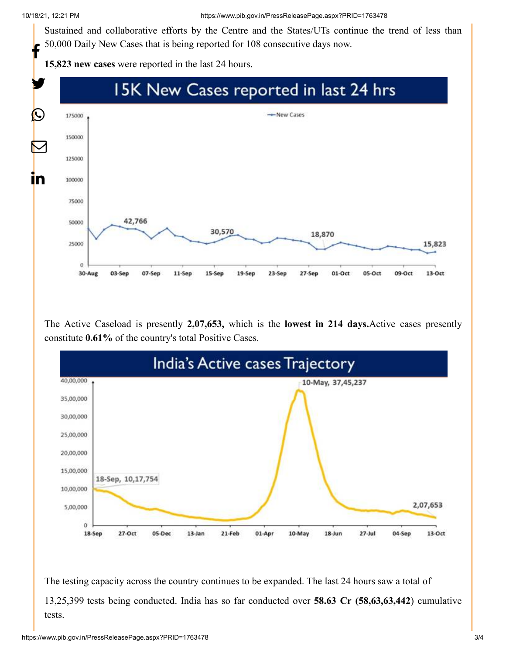Sustained and collaborative efforts by the Centre and the States/UTs continue the trend of less than 50,000 Daily New Cases that is being reported for 108 consecutive days now. f

**15,823 new cases** were reported in the last 24 hours.



The Active Caseload is presently **2,07,653,** which is the **lowest in 214 days.**Active cases presently constitute **0.61%** of the country's total Positive Cases.



The testing capacity across the country continues to be expanded. The last 24 hours saw a total of 13,25,399 tests being conducted. India has so far conducted over **58.63 Cr (58,63,63,442**) cumulative tests.